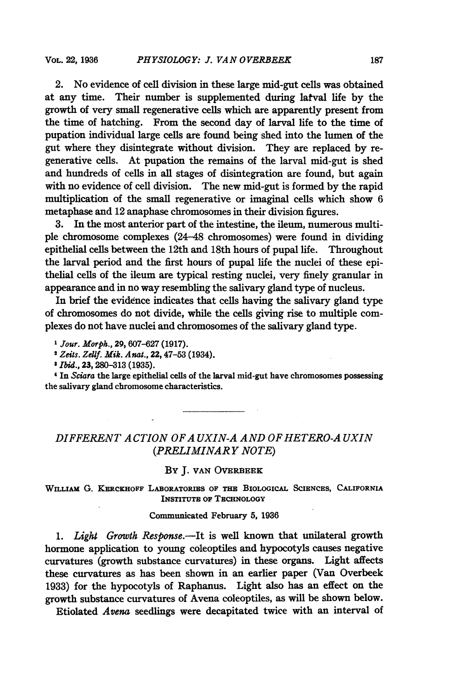2. No evidence of cell division in these large mid-gut cells was obtained at any time. Their number is supplemented during latval life by the growth of very small regenerative cells which are apparently present from the time of hatching. From the second day of larval life to the time of pupation individual large cells are found being shed into the lumen of the gut where they disintegrate without division. They are replaced by regenerative cells. At pupation the remains of the larval mid-gut is shed and hundreds of cells in all stages of disintegration are found, but again with no evidence of cell division. The new mid-gut is formed by the rapid multiplication of the small regenerative or imaginal cells which show 6 metaphase and 12 anaphase chromosomes in their division figures.

3. In the most anterior part of the intestine, the ileum, numerous multiple chromosome complexes (24-48 chromosomes) were found in dividing epithelial cells between the 12th and 18th hours of pupal life. Throughout the larval period and the first hours of pupal life the nuclei of these epithelial cells of the ileum are typical resting nuclei, very finely granular in appearance and in no way resembling the salivary gland type of nucleus.

In brief the evidence indicates that cells having the salivary gland type of chromosomes do not divide, while the cells giving rise to multiple complexes do not have nuclei and chromosomes of the salivary gland type.

<sup>1</sup> Jour. Morph., 29, 607-627 (1917).

<sup>2</sup> Zeits. Zellf. Mik. Anat., 22, 47-53 (1934).

<sup>3</sup> Ibid., 23, 280-313 (1935).

<sup>4</sup> In Sciara the large epithelial cells of the larval mid-gut have chromosomes possessing the salivary gland chromosome characteristics.

# DIFFERENT ACTION OF AUXIN-A AND OF HETERO-AUXIN (PRELIMINAR Y NOTE)

### BY J. VAN OVERBEEK

WILLIAM G. KERCKHOFF LABORATORIES OF THE BIOLOGICAL SCIENCES, CALIFORNIA INSTITUTE OF TECHNOLOGY

#### Communicated February 5, 1936

1. Light Growth Response.--It is well known that unilateral growth hormone application to young coleoptiles and hypocotyls causes negative curvatures (growth substance curvatures) in these organs. Light affects these curvatures as has been shown in an earlier paper (Van Overbeek 1933) for the hypocotyls of Raphanus. Light also has an effect on the growth substance curvatures of Avena coleoptiles, as will be shown below.

Etiolated Avena seedlings were decapitated twice with an interval of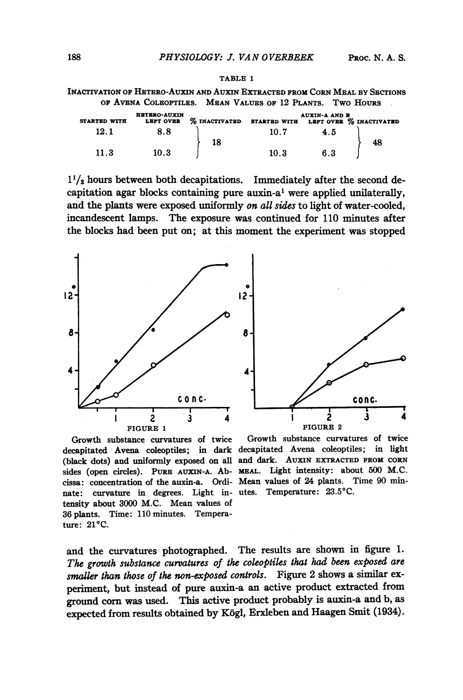| Inactivation of Hetero-Auxin and Auxin Extracted from Corn Meal by Sections |                                                           |  |
|-----------------------------------------------------------------------------|-----------------------------------------------------------|--|
|                                                                             | OF AVENA COLEOPTILES. MEAN VALUES OF 12 PLANTS. TWO HOURS |  |

| <b>STARTED WITH</b> | <b>HETERO-AUXIN</b><br><b>LEFT OVER</b> | $\%$ inactivated | <b>STARTED WITH</b> | <b>AUXIN-A AND B</b> | LEFT OVER % INACTIVATED |
|---------------------|-----------------------------------------|------------------|---------------------|----------------------|-------------------------|
| 12.1                | 8.8                                     | 18               | 10.7                | 4.5                  |                         |
| 11.3                | 10.3                                    |                  | 10.3                | 6.3                  | 48                      |

 $1^{1}/_{2}$  hours between both decapitations. Immediately after the second decapitation agar blocks containing pure auxin-a' were applied unilaterally, and the plants were exposed uniformly on all sides to light of water-cooled, incandescent lamps. The exposure was continued for 110 minutes after the blocks had been put on; at this moment the experiment was stopped





Growth substance curvatures of twice (black dots) and uniformly exposed on all and dark. AUxIN EXTRACTED FROM CORN sides (open circles). PURE AUXIN-A. Ab- MEAL. Light intensity: about 500 M.C. cissa: concentration of the auxin-a. Ordi-Mean values of 24 plants. Time 90 minnate: curvature in degrees. Light in-utes. Temperature: 23.5°C. tensity about 3000 M.C. Mean values of 36 plants. Time: 110 minutes. Temperature: 21°C.

decapitated Avena coleoptiles; in dark decapitated Avena coleoptiles; in light Growth substance curvatures of twice

and the curvatures photographed. The results are shown in figure 1. The growth substance curvatures of the coleoptiles that had been exposed are smaller than those of the non-exposed controls. Figure 2 shows a similar experiment, but instead of pure auxin-a an active product extracted from ground corn was used. This active product probably is auxin-a and b, as expected from results obtained by Kogi, Erxleben and Haagen Smit (1934).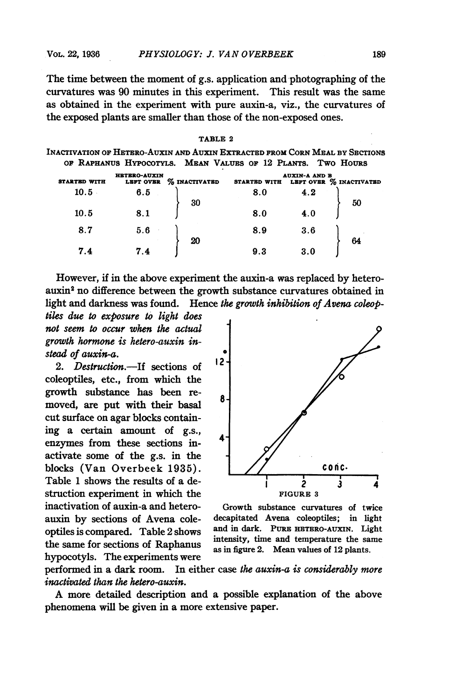The time between the moment of g.s. application and photographing of the curvatures was 90 minutes in this experiment. This result was the same as obtained in the experiment with pure auxin-a, viz., the curvatures of the exposed plants are smaller than those of the non-exposed ones.

 $T_{\rm max}$ 

|                                                                             |                                  | , 1955                                            |                     |                      |                         |
|-----------------------------------------------------------------------------|----------------------------------|---------------------------------------------------|---------------------|----------------------|-------------------------|
| INACTIVATION OF HETERO-AUXIN AND AUXIN EXTRACTED FROM CORN MEAL BY SECTIONS |                                  | OF RAPHANUS HYPOCOTYLS. MEAN VALUES OF 12 PLANTS. |                     |                      | Two Hours               |
| <b>STARTED WITH</b>                                                         | <b>HETERO-AUXIN</b><br>LEFT OVER | % INACTIVATED                                     | <b>STARTED WITH</b> | <b>AUXIN-A AND B</b> | LEFT OVER % INACTIVATED |
| 10.5                                                                        | 6.5                              | 30                                                | 8.0                 | 4.2                  | 50                      |
| 10.5                                                                        | 8.1                              |                                                   | 8.0                 | 4.0                  |                         |
| 8.7                                                                         | 5.6                              | 20                                                | 8.9                 | 3.6                  | 64                      |
| 7.4                                                                         | 7.4                              |                                                   | 9.3                 | 3.0                  |                         |

However, if in the above experiment the auxin-a was replaced by heteroauxin2 no difference between the growth substance curvatures obtained in light and darkness was found. Hence the growth inhibition of Avena coleop-

tiles due to exposure to light does not seem to occur when the actual growth hormone is hetero-auxin instead of auxin-a. 1

2. Destruction.-If sections of coleoptiles, etc., from which the growth substance has been re- 8/ moved, are put with their basal cut surface on agar blocks containing a certain amount of g.s., enzymes from these sections inactivate some of the g.s. in the blocks (Van Overbeek 1935).  $\vert$  // conc. Table 1 shows the results of a destruction experiment in which the FIGURE 3 inactivation of auxin-a and hetero- Growth substance curvatures of twice the same for sections of Raphanus as in figure 2. Mean values of 12 plants. hypocotyls. The experiments were



auxin by sections of Avena cole- decapitated Avena coleoptiles; in light optiles is compared. Table 2 shows and in dark. PURE HETERO-AUXIN. Light

performed in a dark room. In either case the auxin-a is considerably more inactivated than the hetero-auxin.

A more detailed description and <sup>a</sup> possible explanation of the above phenomena will be given in a more extensive paper.